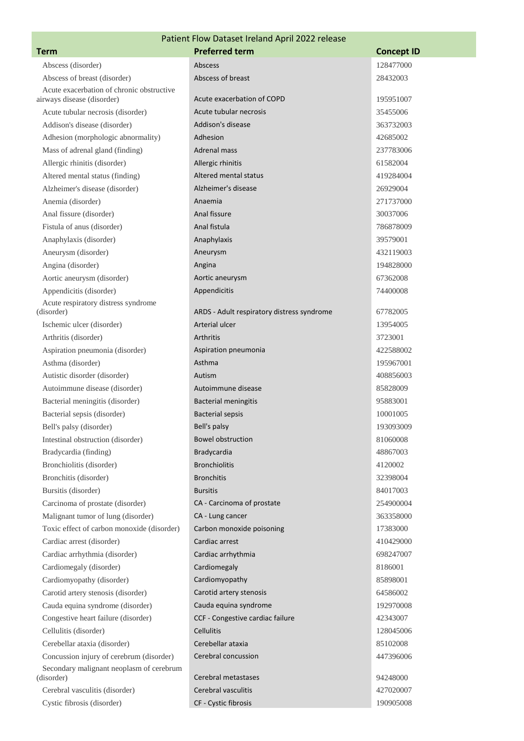| Patient Flow Dataset Ireland April 2022 release                         |                                            |                       |  |  |
|-------------------------------------------------------------------------|--------------------------------------------|-----------------------|--|--|
| <b>Term</b>                                                             | <b>Preferred term</b>                      | <b>Concept ID</b>     |  |  |
| Abscess (disorder)                                                      | Abscess                                    | 128477000             |  |  |
| Abscess of breast (disorder)                                            | Abscess of breast                          | 28432003              |  |  |
| Acute exacerbation of chronic obstructive<br>airways disease (disorder) | Acute exacerbation of COPD                 | 195951007             |  |  |
| Acute tubular necrosis (disorder)                                       | Acute tubular necrosis                     | 35455006              |  |  |
| Addison's disease (disorder)                                            | Addison's disease                          | 363732003             |  |  |
| Adhesion (morphologic abnormality)                                      | Adhesion                                   | 42685002              |  |  |
| Mass of adrenal gland (finding)                                         | <b>Adrenal mass</b>                        | 237783006             |  |  |
| Allergic rhinitis (disorder)                                            | Allergic rhinitis                          | 61582004              |  |  |
| Altered mental status (finding)                                         | Altered mental status                      | 419284004             |  |  |
| Alzheimer's disease (disorder)                                          | Alzheimer's disease                        | 26929004              |  |  |
|                                                                         | Anaemia                                    |                       |  |  |
| Anemia (disorder)                                                       | Anal fissure                               | 271737000<br>30037006 |  |  |
| Anal fissure (disorder)                                                 |                                            |                       |  |  |
| Fistula of anus (disorder)                                              | Anal fistula                               | 786878009             |  |  |
| Anaphylaxis (disorder)                                                  | Anaphylaxis                                | 39579001              |  |  |
| Aneurysm (disorder)                                                     | Aneurysm                                   | 432119003             |  |  |
| Angina (disorder)                                                       | Angina                                     | 194828000             |  |  |
| Aortic aneurysm (disorder)                                              | Aortic aneurysm                            | 67362008              |  |  |
| Appendicitis (disorder)                                                 | Appendicitis                               | 74400008              |  |  |
| Acute respiratory distress syndrome<br>(disorder)                       | ARDS - Adult respiratory distress syndrome | 67782005              |  |  |
| Ischemic ulcer (disorder)                                               | Arterial ulcer                             | 13954005              |  |  |
| Arthritis (disorder)                                                    | Arthritis                                  | 3723001               |  |  |
| Aspiration pneumonia (disorder)                                         | Aspiration pneumonia                       | 422588002             |  |  |
| Asthma (disorder)                                                       | Asthma                                     | 195967001             |  |  |
| Autistic disorder (disorder)                                            | Autism                                     | 408856003             |  |  |
| Autoimmune disease (disorder)                                           | Autoimmune disease                         | 85828009              |  |  |
| Bacterial meningitis (disorder)                                         | <b>Bacterial meningitis</b>                | 95883001              |  |  |
| Bacterial sepsis (disorder)                                             | <b>Bacterial sepsis</b>                    | 10001005              |  |  |
| Bell's palsy (disorder)                                                 | Bell's palsy                               | 193093009             |  |  |
| Intestinal obstruction (disorder)                                       | <b>Bowel obstruction</b>                   | 81060008              |  |  |
| Bradycardia (finding)                                                   | Bradycardia                                | 48867003              |  |  |
| Bronchiolitis (disorder)                                                | <b>Bronchiolitis</b>                       | 4120002               |  |  |
| Bronchitis (disorder)                                                   | <b>Bronchitis</b>                          | 32398004              |  |  |
| Bursitis (disorder)                                                     | <b>Bursitis</b>                            | 84017003              |  |  |
| Carcinoma of prostate (disorder)                                        | CA - Carcinoma of prostate                 | 254900004             |  |  |
| Malignant tumor of lung (disorder)                                      | CA - Lung cancer                           | 363358000             |  |  |
| Toxic effect of carbon monoxide (disorder)                              | Carbon monoxide poisoning                  | 17383000              |  |  |
| Cardiac arrest (disorder)                                               | Cardiac arrest                             | 410429000             |  |  |
| Cardiac arrhythmia (disorder)                                           | Cardiac arrhythmia                         | 698247007             |  |  |
| Cardiomegaly (disorder)                                                 | Cardiomegaly                               | 8186001               |  |  |
| Cardiomyopathy (disorder)                                               | Cardiomyopathy                             | 85898001              |  |  |
| Carotid artery stenosis (disorder)                                      | Carotid artery stenosis                    | 64586002              |  |  |
| Cauda equina syndrome (disorder)                                        | Cauda equina syndrome                      | 192970008             |  |  |
| Congestive heart failure (disorder)                                     | CCF - Congestive cardiac failure           | 42343007              |  |  |
| Cellulitis (disorder)                                                   | Cellulitis                                 | 128045006             |  |  |
| Cerebellar ataxia (disorder)                                            | Cerebellar ataxia                          | 85102008              |  |  |
| Concussion injury of cerebrum (disorder)                                | Cerebral concussion                        | 447396006             |  |  |
| Secondary malignant neoplasm of cerebrum                                |                                            |                       |  |  |
| (disorder)                                                              | Cerebral metastases                        | 94248000              |  |  |
| Cerebral vasculitis (disorder)                                          | Cerebral vasculitis                        | 427020007             |  |  |
| Cystic fibrosis (disorder)                                              | CF - Cystic fibrosis                       | 190905008             |  |  |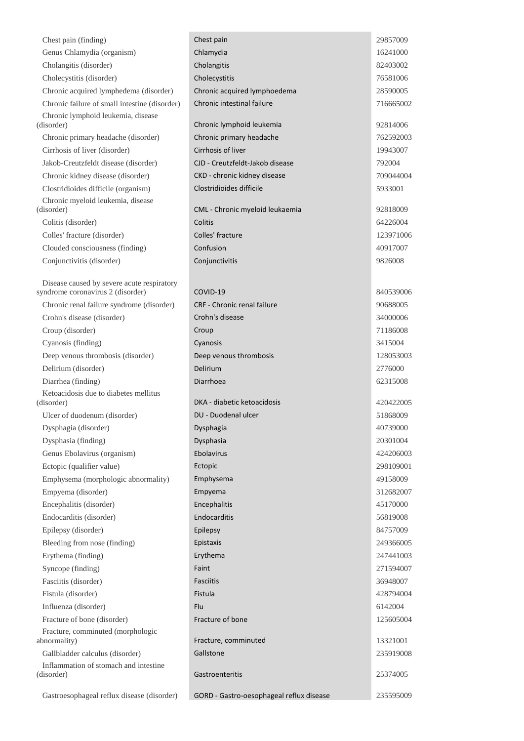| Chest pain (finding)                                                            | Chest pain                         | 29857009  |
|---------------------------------------------------------------------------------|------------------------------------|-----------|
| Genus Chlamydia (organism)                                                      | Chlamydia                          | 16241000  |
| Cholangitis (disorder)                                                          | Cholangitis                        | 82403002  |
| Cholecystitis (disorder)                                                        | Cholecystitis                      | 76581006  |
| Chronic acquired lymphedema (disorder)                                          | Chronic acquired lymphoedema       | 28590005  |
| Chronic failure of small intestine (disorder)                                   | Chronic intestinal failure         | 716665002 |
| Chronic lymphoid leukemia, disease<br>(disorder)                                | Chronic lymphoid leukemia          | 92814006  |
| Chronic primary headache (disorder)                                             | Chronic primary headache           | 762592003 |
| Cirrhosis of liver (disorder)                                                   | Cirrhosis of liver                 | 19943007  |
| Jakob-Creutzfeldt disease (disorder)                                            | CJD - Creutzfeldt-Jakob disease    | 792004    |
| Chronic kidney disease (disorder)                                               | CKD - chronic kidney disease       | 709044004 |
| Clostridioides difficile (organism)                                             | Clostridioides difficile           | 5933001   |
| Chronic myeloid leukemia, disease<br>(disorder)                                 | CML - Chronic myeloid leukaemia    | 92818009  |
| Colitis (disorder)                                                              | Colitis                            | 64226004  |
| Colles' fracture (disorder)                                                     | Colles' fracture                   | 123971006 |
| Clouded consciousness (finding)                                                 | Confusion                          | 40917007  |
| Conjunctivitis (disorder)                                                       | Conjunctivitis                     | 9826008   |
|                                                                                 |                                    |           |
| Disease caused by severe acute respiratory<br>syndrome coronavirus 2 (disorder) | COVID-19                           | 840539006 |
| Chronic renal failure syndrome (disorder)                                       | <b>CRF</b> - Chronic renal failure | 90688005  |
| Crohn's disease (disorder)                                                      | Crohn's disease                    | 34000006  |
| Croup (disorder)                                                                | Croup                              | 71186008  |
| Cyanosis (finding)                                                              | Cyanosis                           | 3415004   |
| Deep venous thrombosis (disorder)                                               | Deep venous thrombosis             | 128053003 |
| Delirium (disorder)                                                             | Delirium                           | 2776000   |
| Diarrhea (finding)                                                              | Diarrhoea                          | 62315008  |
| Ketoacidosis due to diabetes mellitus                                           |                                    |           |
| (disorder)                                                                      | DKA - diabetic ketoacidosis        | 420422005 |
| Ulcer of duodenum (disorder)                                                    | DU - Duodenal ulcer                | 51868009  |
| Dysphagia (disorder)                                                            | Dysphagia                          | 40739000  |
| Dysphasia (finding)                                                             | Dysphasia                          | 20301004  |
| Genus Ebolavirus (organism)                                                     | Ebolavirus                         | 424206003 |
| Ectopic (qualifier value)                                                       | Ectopic                            | 298109001 |
| Emphysema (morphologic abnormality)                                             | Emphysema                          | 49158009  |
| Empyema (disorder)                                                              | Empyema                            | 312682007 |
| Encephalitis (disorder)                                                         | Encephalitis                       | 45170000  |
| Endocarditis (disorder)                                                         | Endocarditis                       | 56819008  |
| Epilepsy (disorder)                                                             | Epilepsy                           | 84757009  |
| Bleeding from nose (finding)                                                    | Epistaxis                          | 249366005 |
| Erythema (finding)                                                              | Erythema                           | 247441003 |
| Syncope (finding)                                                               | Faint                              | 271594007 |
| Fasciitis (disorder)                                                            | <b>Fasciitis</b>                   | 36948007  |
| Fistula (disorder)                                                              | Fistula                            | 428794004 |
| Influenza (disorder)                                                            | Flu                                | 6142004   |
| Fracture of bone (disorder)                                                     | Fracture of bone                   | 125605004 |
| Fracture, comminuted (morphologic                                               |                                    |           |
| abnormality)                                                                    | Fracture, comminuted               | 13321001  |
| Gallbladder calculus (disorder)                                                 | Gallstone                          | 235919008 |
| Inflammation of stomach and intestine<br>(disorder)                             | Gastroenteritis                    | 25374005  |
|                                                                                 |                                    |           |

 $\sim$ 

Gastroesophageal reflux disease (disorder) GORD - Gastro-oesophageal reflux disease 235595009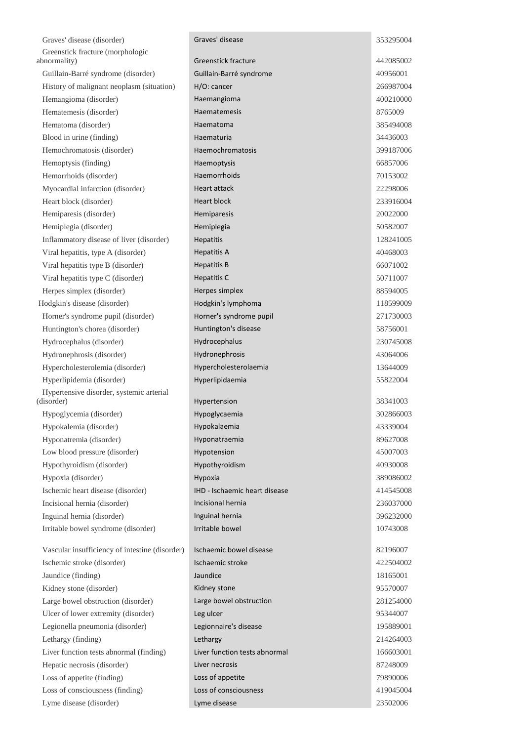| Graves' disease (disorder)                     | Graves' disease               | 353295004 |
|------------------------------------------------|-------------------------------|-----------|
| Greenstick fracture (morphologic               |                               |           |
| abnormality)                                   | <b>Greenstick fracture</b>    | 442085002 |
| Guillain-Barré syndrome (disorder)             | Guillain-Barré syndrome       | 40956001  |
| History of malignant neoplasm (situation)      | H/O: cancer                   | 266987004 |
| Hemangioma (disorder)                          | Haemangioma                   | 400210000 |
| Hematemesis (disorder)                         | Haematemesis                  | 8765009   |
| Hematoma (disorder)                            | Haematoma                     | 385494008 |
| Blood in urine (finding)                       | Haematuria                    | 34436003  |
| Hemochromatosis (disorder)                     | Haemochromatosis              | 399187006 |
| Hemoptysis (finding)                           | Haemoptysis                   | 66857006  |
| Hemorrhoids (disorder)                         | Haemorrhoids                  | 70153002  |
| Myocardial infarction (disorder)               | Heart attack                  | 22298006  |
| Heart block (disorder)                         | <b>Heart block</b>            | 233916004 |
| Hemiparesis (disorder)                         | Hemiparesis                   | 20022000  |
| Hemiplegia (disorder)                          | Hemiplegia                    | 50582007  |
| Inflammatory disease of liver (disorder)       | Hepatitis                     | 128241005 |
| Viral hepatitis, type A (disorder)             | <b>Hepatitis A</b>            | 40468003  |
| Viral hepatitis type B (disorder)              | <b>Hepatitis B</b>            | 66071002  |
| Viral hepatitis type C (disorder)              | Hepatitis C                   | 50711007  |
| Herpes simplex (disorder)                      | Herpes simplex                | 88594005  |
| Hodgkin's disease (disorder)                   | Hodgkin's lymphoma            | 118599009 |
| Horner's syndrome pupil (disorder)             | Horner's syndrome pupil       | 271730003 |
| Huntington's chorea (disorder)                 | Huntington's disease          | 58756001  |
| Hydrocephalus (disorder)                       | Hydrocephalus                 | 230745008 |
| Hydronephrosis (disorder)                      | Hydronephrosis                | 43064006  |
| Hypercholesterolemia (disorder)                | Hypercholesterolaemia         | 13644009  |
| Hyperlipidemia (disorder)                      | Hyperlipidaemia               | 55822004  |
| Hypertensive disorder, systemic arterial       |                               |           |
| (disorder)                                     | Hypertension                  | 38341003  |
| Hypoglycemia (disorder)                        | Hypoglycaemia                 | 302866003 |
| Hypokalemia (disorder)                         | Hypokalaemia                  | 43339004  |
| Hyponatremia (disorder)                        | Hyponatraemia                 | 89627008  |
| Low blood pressure (disorder)                  | Hypotension                   | 45007003  |
| Hypothyroidism (disorder)                      | Hypothyroidism                | 40930008  |
| Hypoxia (disorder)                             | Hypoxia                       | 389086002 |
| Ischemic heart disease (disorder)              | IHD - Ischaemic heart disease | 414545008 |
| Incisional hernia (disorder)                   | Incisional hernia             | 236037000 |
| Inguinal hernia (disorder)                     | Inguinal hernia               | 396232000 |
| Irritable bowel syndrome (disorder)            | Irritable bowel               | 10743008  |
| Vascular insufficiency of intestine (disorder) | Ischaemic bowel disease       | 82196007  |
| Ischemic stroke (disorder)                     | Ischaemic stroke              | 422504002 |
| Jaundice (finding)                             | Jaundice                      | 18165001  |
| Kidney stone (disorder)                        | Kidney stone                  | 95570007  |
| Large bowel obstruction (disorder)             | Large bowel obstruction       | 281254000 |
| Ulcer of lower extremity (disorder)            | Leg ulcer                     | 95344007  |
| Legionella pneumonia (disorder)                | Legionnaire's disease         | 195889001 |
| Lethargy (finding)                             | Lethargy                      | 214264003 |
| Liver function tests abnormal (finding)        | Liver function tests abnormal | 166603001 |
| Hepatic necrosis (disorder)                    | Liver necrosis                | 87248009  |
| Loss of appetite (finding)                     | Loss of appetite              | 79890006  |
| Loss of consciousness (finding)                | Loss of consciousness         | 419045004 |
| Lyme disease (disorder)                        | Lyme disease                  | 23502006  |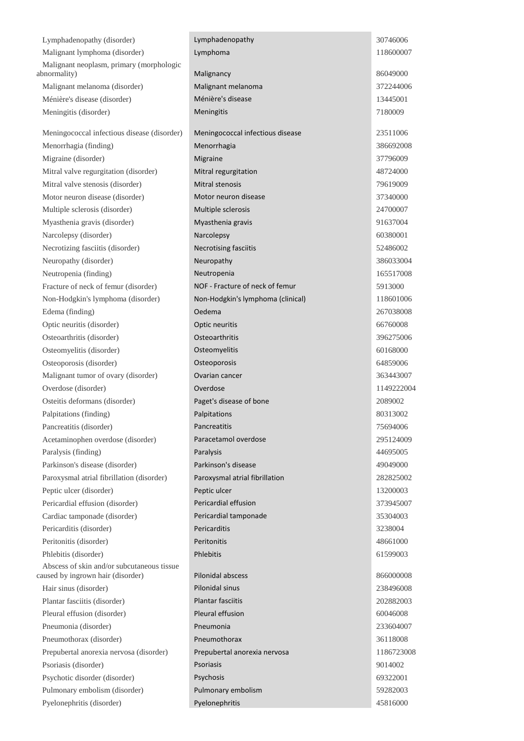| Lymphadenopathy (disorder)                                                      | Lymphadenopathy                   | 30746006   |
|---------------------------------------------------------------------------------|-----------------------------------|------------|
| Malignant lymphoma (disorder)                                                   | Lymphoma                          | 118600007  |
| Malignant neoplasm, primary (morphologic<br>abnormality)                        | Malignancy                        | 86049000   |
| Malignant melanoma (disorder)                                                   | Malignant melanoma                | 372244006  |
| Ménière's disease (disorder)                                                    | Ménière's disease                 | 13445001   |
| Meningitis (disorder)                                                           | Meningitis                        | 7180009    |
|                                                                                 |                                   |            |
| Meningococcal infectious disease (disorder)                                     | Meningococcal infectious disease  | 23511006   |
| Menorrhagia (finding)                                                           | Menorrhagia                       | 386692008  |
| Migraine (disorder)                                                             | Migraine                          | 37796009   |
| Mitral valve regurgitation (disorder)                                           | Mitral regurgitation              | 48724000   |
| Mitral valve stenosis (disorder)                                                | Mitral stenosis                   | 79619009   |
| Motor neuron disease (disorder)                                                 | Motor neuron disease              | 37340000   |
| Multiple sclerosis (disorder)                                                   | Multiple sclerosis                | 24700007   |
| Myasthenia gravis (disorder)                                                    | Myasthenia gravis                 | 91637004   |
| Narcolepsy (disorder)                                                           | Narcolepsy                        | 60380001   |
| Necrotizing fasciitis (disorder)                                                | Necrotising fasciitis             | 52486002   |
| Neuropathy (disorder)                                                           | Neuropathy                        | 386033004  |
| Neutropenia (finding)                                                           | Neutropenia                       | 165517008  |
| Fracture of neck of femur (disorder)                                            | NOF - Fracture of neck of femur   | 5913000    |
| Non-Hodgkin's lymphoma (disorder)                                               | Non-Hodgkin's lymphoma (clinical) | 118601006  |
| Edema (finding)                                                                 | Oedema                            | 267038008  |
| Optic neuritis (disorder)                                                       | Optic neuritis                    | 66760008   |
| Osteoarthritis (disorder)                                                       | Osteoarthritis                    | 396275006  |
| Osteomyelitis (disorder)                                                        | Osteomyelitis                     | 60168000   |
| Osteoporosis (disorder)                                                         | Osteoporosis                      | 64859006   |
| Malignant tumor of ovary (disorder)                                             | Ovarian cancer                    | 363443007  |
| Overdose (disorder)                                                             | Overdose                          | 1149222004 |
| Osteitis deformans (disorder)                                                   | Paget's disease of bone           | 2089002    |
| Palpitations (finding)                                                          | Palpitations                      | 80313002   |
| Pancreatitis (disorder)                                                         | Pancreatitis                      | 75694006   |
| Acetaminophen overdose (disorder)                                               | Paracetamol overdose              | 295124009  |
| Paralysis (finding)                                                             | Paralysis                         | 44695005   |
| Parkinson's disease (disorder)                                                  | Parkinson's disease               | 49049000   |
| Paroxysmal atrial fibrillation (disorder)                                       | Paroxysmal atrial fibrillation    | 282825002  |
| Peptic ulcer (disorder)                                                         | Peptic ulcer                      | 13200003   |
| Pericardial effusion (disorder)                                                 | Pericardial effusion              | 373945007  |
| Cardiac tamponade (disorder)                                                    | Pericardial tamponade             | 35304003   |
| Pericarditis (disorder)                                                         | Pericarditis                      | 3238004    |
| Peritonitis (disorder)                                                          | Peritonitis                       | 48661000   |
| Phlebitis (disorder)                                                            | Phlebitis                         | 61599003   |
| Abscess of skin and/or subcutaneous tissue<br>caused by ingrown hair (disorder) | <b>Pilonidal abscess</b>          | 866000008  |
| Hair sinus (disorder)                                                           | Pilonidal sinus                   | 238496008  |
| Plantar fasciitis (disorder)                                                    | <b>Plantar fasciitis</b>          | 202882003  |
| Pleural effusion (disorder)                                                     | Pleural effusion                  | 60046008   |
| Pneumonia (disorder)                                                            | Pneumonia                         | 233604007  |
| Pneumothorax (disorder)                                                         | Pneumothorax                      | 36118008   |
| Prepubertal anorexia nervosa (disorder)                                         | Prepubertal anorexia nervosa      | 1186723008 |
| Psoriasis (disorder)                                                            | Psoriasis                         | 9014002    |
| Psychotic disorder (disorder)                                                   | Psychosis                         | 69322001   |
| Pulmonary embolism (disorder)                                                   | Pulmonary embolism                | 59282003   |
| Pyelonephritis (disorder)                                                       | Pyelonephritis                    | 45816000   |
|                                                                                 |                                   |            |